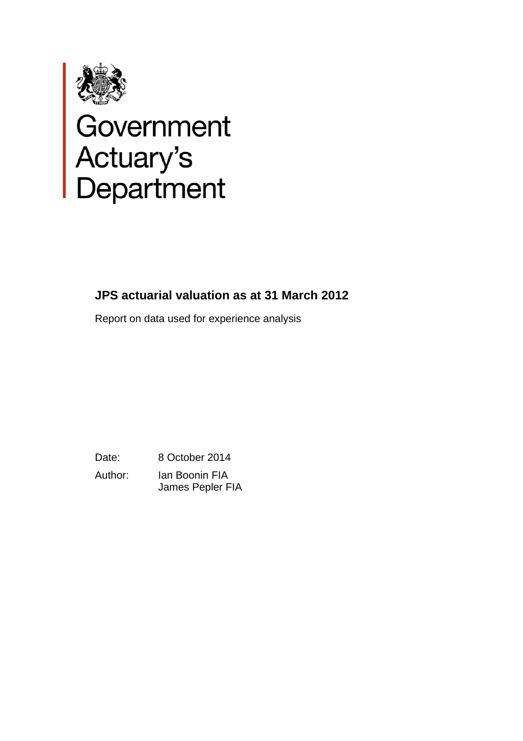

# Government<br>Actuary's<br>Department

# **JPS actuarial valuation as at 31 March 2012**

Report on data used for experience analysis

Date: 8 October 2014 Author: Ian Boonin FIA James Pepler FIA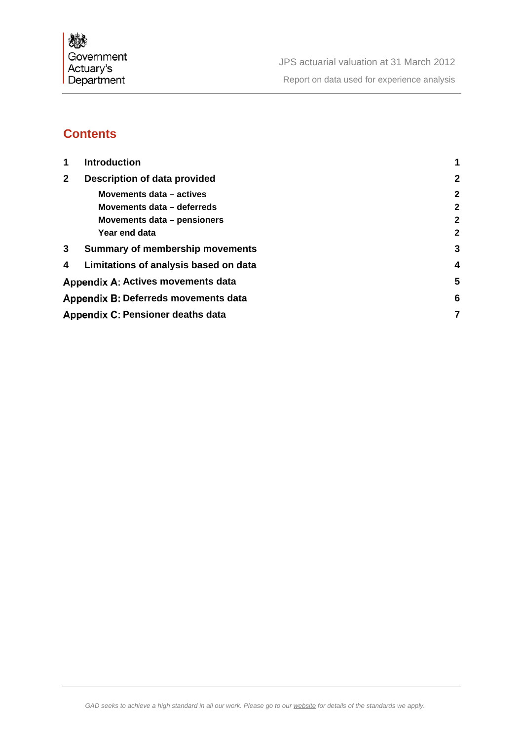

# **Contents**

| 1            | <b>Introduction</b>                       |                |
|--------------|-------------------------------------------|----------------|
| $\mathbf{2}$ | Description of data provided              | $\overline{2}$ |
|              | Movements data - actives                  | $\mathbf{2}$   |
|              | Movements data - deferreds                | $\mathbf{2}$   |
|              | Movements data – pensioners               | $\mathbf{2}$   |
|              | Year end data                             | $\mathbf{2}$   |
| 3            | <b>Summary of membership movements</b>    | 3              |
| 4            | Limitations of analysis based on data     | 4              |
|              | <b>Appendix A: Actives movements data</b> | 5              |
|              | Appendix B: Deferreds movements data      | 6              |
|              | Appendix C: Pensioner deaths data         | 7              |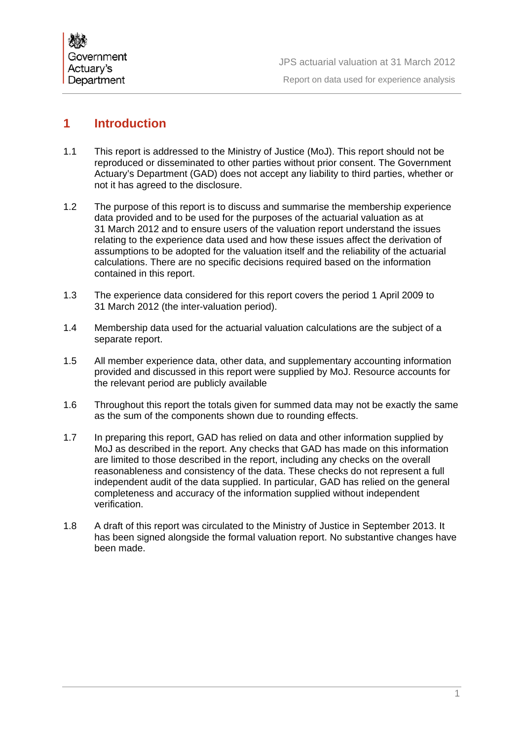

JPS actuarial valuation at 31 March 2012 Report on data used for experience analysis

## **1 Introduction**

- 1.1 This report is addressed to the Ministry of Justice (MoJ). This report should not be reproduced or disseminated to other parties without prior consent. The Government Actuary's Department (GAD) does not accept any liability to third parties, whether or not it has agreed to the disclosure.
- 1.2 The purpose of this report is to discuss and summarise the membership experience data provided and to be used for the purposes of the actuarial valuation as at 31 March 2012 and to ensure users of the valuation report understand the issues relating to the experience data used and how these issues affect the derivation of assumptions to be adopted for the valuation itself and the reliability of the actuarial calculations. There are no specific decisions required based on the information contained in this report.
- 1.3 The experience data considered for this report covers the period 1 April 2009 to 31 March 2012 (the inter-valuation period).
- 1.4 Membership data used for the actuarial valuation calculations are the subject of a separate report.
- 1.5 All member experience data, other data, and supplementary accounting information provided and discussed in this report were supplied by MoJ. Resource accounts for the relevant period are publicly available
- 1.6 Throughout this report the totals given for summed data may not be exactly the same as the sum of the components shown due to rounding effects.
- 1.7 In preparing this report, GAD has relied on data and other information supplied by MoJ as described in the report. Any checks that GAD has made on this information are limited to those described in the report, including any checks on the overall reasonableness and consistency of the data. These checks do not represent a full independent audit of the data supplied. In particular, GAD has relied on the general completeness and accuracy of the information supplied without independent verification.
- 1.8 A draft of this report was circulated to the Ministry of Justice in September 2013. It has been signed alongside the formal valuation report. No substantive changes have been made.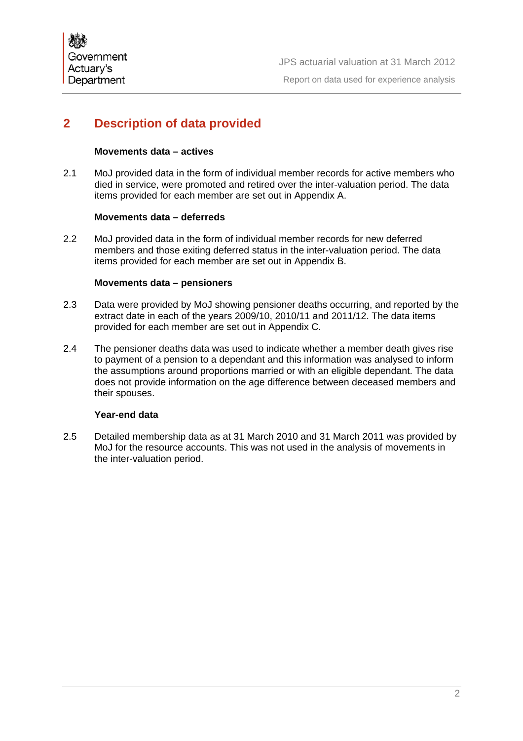# **2 Description of data provided**

### **Movements data – actives**

2.1 MoJ provided data in the form of individual member records for active members who died in service, were promoted and retired over the inter-valuation period. The data items provided for each member are set out in Appendix A.

### **Movements data – deferreds**

2.2 MoJ provided data in the form of individual member records for new deferred members and those exiting deferred status in the inter-valuation period. The data items provided for each member are set out in Appendix B.

### **Movements data – pensioners**

- 2.3 Data were provided by MoJ showing pensioner deaths occurring, and reported by the extract date in each of the years 2009/10, 2010/11 and 2011/12. The data items provided for each member are set out in Appendix C.
- 2.4 The pensioner deaths data was used to indicate whether a member death gives rise to payment of a pension to a dependant and this information was analysed to inform the assumptions around proportions married or with an eligible dependant. The data does not provide information on the age difference between deceased members and their spouses.

### **Year-end data**

2.5 Detailed membership data as at 31 March 2010 and 31 March 2011 was provided by MoJ for the resource accounts. This was not used in the analysis of movements in the inter-valuation period.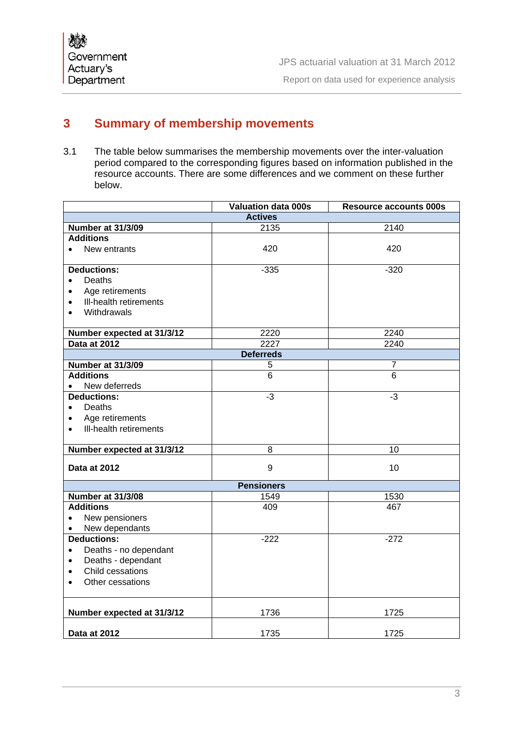# **3 Summary of membership movements**

3.1 The table below summarises the membership movements over the inter-valuation period compared to the corresponding figures based on information published in the resource accounts. There are some differences and we comment on these further below.

|                                     | <b>Valuation data 000s</b> | <b>Resource accounts 000s</b> |  |  |
|-------------------------------------|----------------------------|-------------------------------|--|--|
| <b>Actives</b>                      |                            |                               |  |  |
| Number at 31/3/09                   | 2135                       | 2140                          |  |  |
| <b>Additions</b>                    |                            |                               |  |  |
| New entrants<br>$\bullet$           | 420                        | 420                           |  |  |
|                                     |                            |                               |  |  |
| <b>Deductions:</b>                  | $-335$                     | $-320$                        |  |  |
| Deaths<br>$\bullet$                 |                            |                               |  |  |
| Age retirements                     |                            |                               |  |  |
| Ill-health retirements<br>$\bullet$ |                            |                               |  |  |
| Withdrawals<br>$\bullet$            |                            |                               |  |  |
|                                     |                            |                               |  |  |
| Number expected at 31/3/12          | 2220                       | 2240                          |  |  |
| Data at 2012                        | 2227                       | 2240                          |  |  |
| <b>Deferreds</b>                    |                            |                               |  |  |
| <b>Number at 31/3/09</b>            | 5                          | 7                             |  |  |
| <b>Additions</b>                    | $\overline{6}$             | $\overline{6}$                |  |  |
| New deferreds<br>$\bullet$          |                            |                               |  |  |
| <b>Deductions:</b>                  | -3                         | $-3$                          |  |  |
| Deaths<br>$\bullet$                 |                            |                               |  |  |
| Age retirements<br>$\bullet$        |                            |                               |  |  |
| Ill-health retirements<br>$\bullet$ |                            |                               |  |  |
|                                     |                            |                               |  |  |
| Number expected at 31/3/12          | 8                          | 10                            |  |  |
| Data at 2012                        | 9                          | 10                            |  |  |
|                                     |                            |                               |  |  |
| <b>Pensioners</b>                   |                            |                               |  |  |
| <b>Number at 31/3/08</b>            | 1549                       | 1530                          |  |  |
| <b>Additions</b>                    | 409                        | 467                           |  |  |
| New pensioners<br>$\bullet$         |                            |                               |  |  |
| New dependants<br>$\bullet$         |                            |                               |  |  |
| <b>Deductions:</b>                  | $-222$                     | $-272$                        |  |  |
| Deaths - no dependant<br>$\bullet$  |                            |                               |  |  |
| Deaths - dependant<br>$\bullet$     |                            |                               |  |  |
| Child cessations                    |                            |                               |  |  |
| Other cessations                    |                            |                               |  |  |
|                                     |                            |                               |  |  |
|                                     |                            |                               |  |  |
| Number expected at 31/3/12          | 1736                       | 1725                          |  |  |
|                                     |                            |                               |  |  |
| Data at 2012                        | 1735                       | 1725                          |  |  |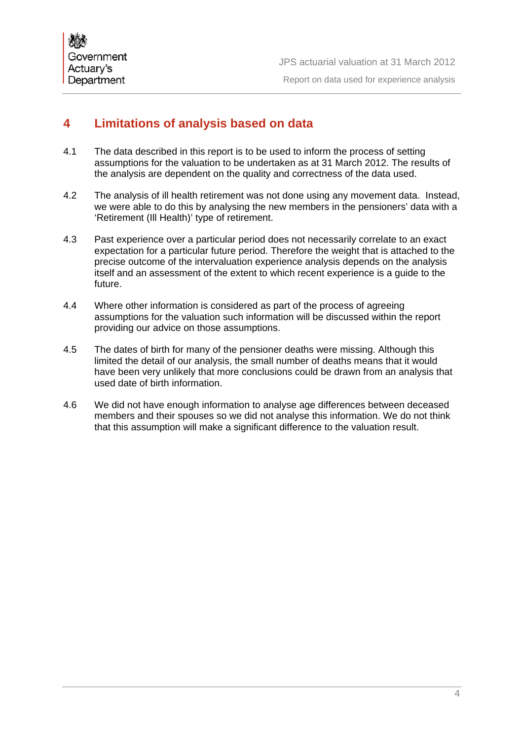

JPS actuarial valuation at 31 March 2012 Report on data used for experience analysis

# **4 Limitations of analysis based on data**

- 4.1 The data described in this report is to be used to inform the process of setting assumptions for the valuation to be undertaken as at 31 March 2012. The results of the analysis are dependent on the quality and correctness of the data used.
- 4.2 The analysis of ill health retirement was not done using any movement data. Instead, we were able to do this by analysing the new members in the pensioners' data with a 'Retirement (Ill Health)' type of retirement.
- 4.3 Past experience over a particular period does not necessarily correlate to an exact expectation for a particular future period. Therefore the weight that is attached to the precise outcome of the intervaluation experience analysis depends on the analysis itself and an assessment of the extent to which recent experience is a guide to the future.
- 4.4 Where other information is considered as part of the process of agreeing assumptions for the valuation such information will be discussed within the report providing our advice on those assumptions.
- 4.5 The dates of birth for many of the pensioner deaths were missing. Although this limited the detail of our analysis, the small number of deaths means that it would have been very unlikely that more conclusions could be drawn from an analysis that used date of birth information.
- 4.6 We did not have enough information to analyse age differences between deceased members and their spouses so we did not analyse this information. We do not think that this assumption will make a significant difference to the valuation result.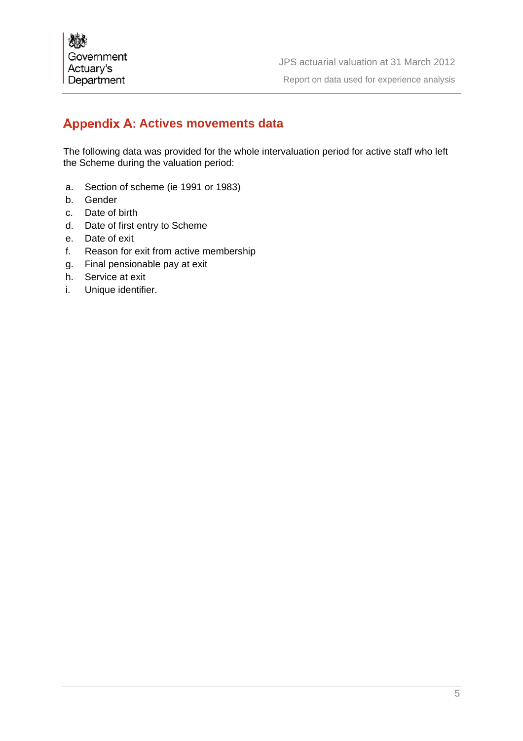# **Appendix A: Actives movements data**

The following data was provided for the whole intervaluation period for active staff who left the Scheme during the valuation period:

- a. Section of scheme (ie 1991 or 1983)
- b. Gender
- c. Date of birth
- d. Date of first entry to Scheme
- e. Date of exit
- f. Reason for exit from active membership
- g. Final pensionable pay at exit
- h. Service at exit
- i. Unique identifier.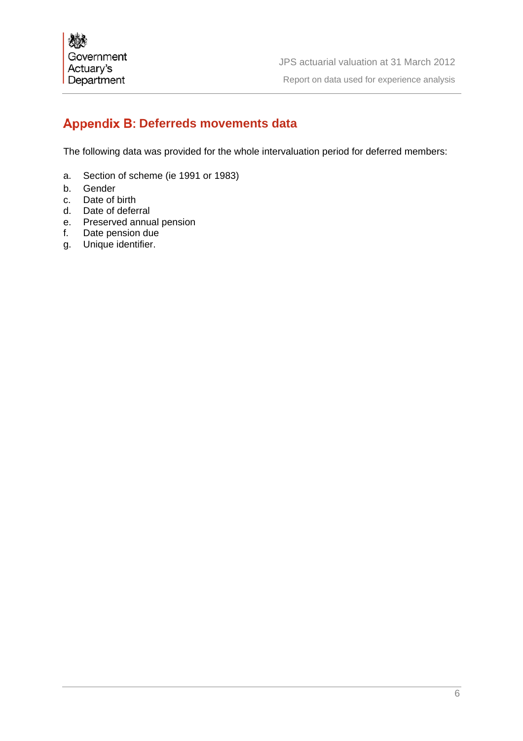# **Appendix B: Deferreds movements data**

The following data was provided for the whole intervaluation period for deferred members:

- a. Section of scheme (ie 1991 or 1983)
- b. Gender
- c. Date of birth
- d. Date of deferral
- e. Preserved annual pension
- f. Date pension due
- g. Unique identifier.